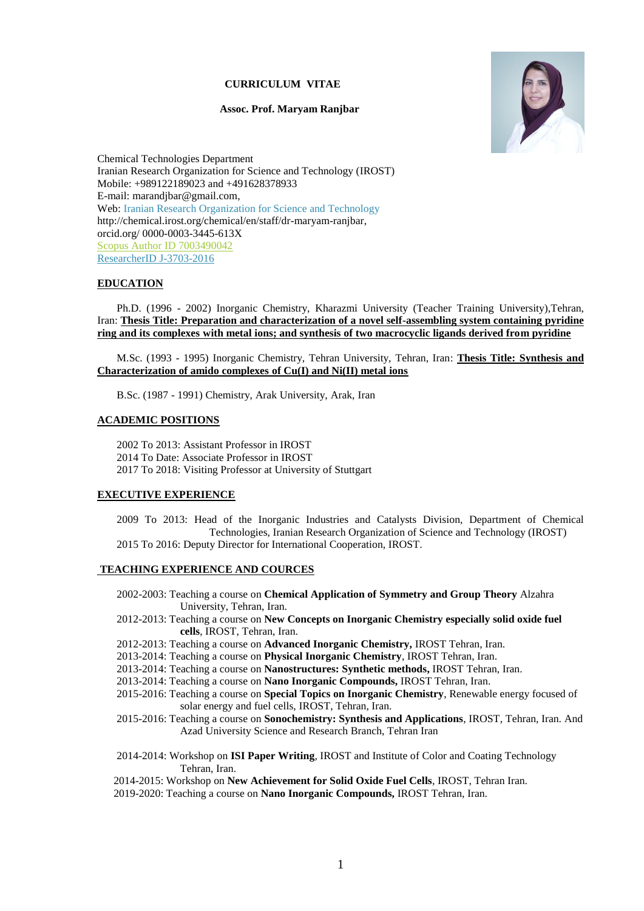#### **CURRICULUM VITAE**

#### **Assoc. Prof. Maryam Ranjbar**



Chemical Technologies Department Iranian Research Organization for Science and Technology (IROST) Mobile: +989122189023 and +491628378933 E-mail: marandjbar@gmail.com, Web: [Iranian Research Organization for Science and Technology](http://213.176.123.54/chemical/en/staff/dr-maryam-ranjbar) http://chemical.irost.org/chemical/en/staff/dr-maryam-ranjbar, orcid.org/ 0000-0003-3445-613X [Scopus Author ID 7003490042](http://www.scopus.com/inward/authorDetails.url?authorID=7003490042&partnerID=MN8TOARS) [ResearcherID J-3703-2016](http://www.researcherid.com/rid/J-3703-2016)

#### **EDUCATION**

Ph.D. (1996 - 2002) Inorganic Chemistry, Kharazmi University (Teacher Training University),Tehran, Iran: **Thesis Title: Preparation and characterization of a novel self-assembling system containing pyridine ring and its complexes with metal ions; and synthesis of two macrocyclic ligands derived from pyridine**

M.Sc. (1993 - 1995) Inorganic Chemistry, Tehran University, Tehran, Iran: **Thesis Title: Synthesis and Characterization of amido complexes of Cu(I) and Ni(II) metal ions**

B.Sc. (1987 - 1991) Chemistry, Arak University, Arak, Iran

### **ACADEMIC POSITIONS**

2002 To 2013: Assistant Professor in IROST 2014 To Date: Associate Professor in IROST 2017 To 2018: Visiting Professor at University of Stuttgart

#### **EXECUTIVE EXPERIENCE**

2009 To 2013: Head of the Inorganic Industries and Catalysts Division, Department of Chemical Technologies, Iranian Research Organization of Science and Technology (IROST) 2015 To 2016: Deputy Director for International Cooperation, IROST.

#### **TEACHING EXPERIENCE AND COURCES**

- 2002-2003: Teaching a course on **Chemical Application of Symmetry and Group Theory** Alzahra University, Tehran, Iran.
- 2012-2013: Teaching a course on **New Concepts on Inorganic Chemistry especially solid oxide fuel cells**, IROST, Tehran, Iran.
- 2012-2013: Teaching a course on **Advanced Inorganic Chemistry,** IROST Tehran, Iran.
- 2013-2014: Teaching a course on **Physical Inorganic Chemistry**, IROST Tehran, Iran.
- 2013-2014: Teaching a course on **Nanostructures: Synthetic methods,** IROST Tehran, Iran.
- 2013-2014: Teaching a course on **Nano Inorganic Compounds,** IROST Tehran, Iran.
- 2015-2016: Teaching a course on **Special Topics on Inorganic Chemistry**, Renewable energy focused of solar energy and fuel cells, IROST, Tehran, Iran.
- 2015-2016: Teaching a course on **Sonochemistry: Synthesis and Applications**, IROST, Tehran, Iran. And Azad University Science and Research Branch, Tehran Iran
- 2014-2014: Workshop on **ISI Paper Writing**, IROST and Institute of Color and Coating Technology Tehran, Iran.
- 2014-2015: Workshop on **New Achievement for Solid Oxide Fuel Cells**, IROST, Tehran Iran.
- 2019-2020: Teaching a course on **Nano Inorganic Compounds,** IROST Tehran, Iran.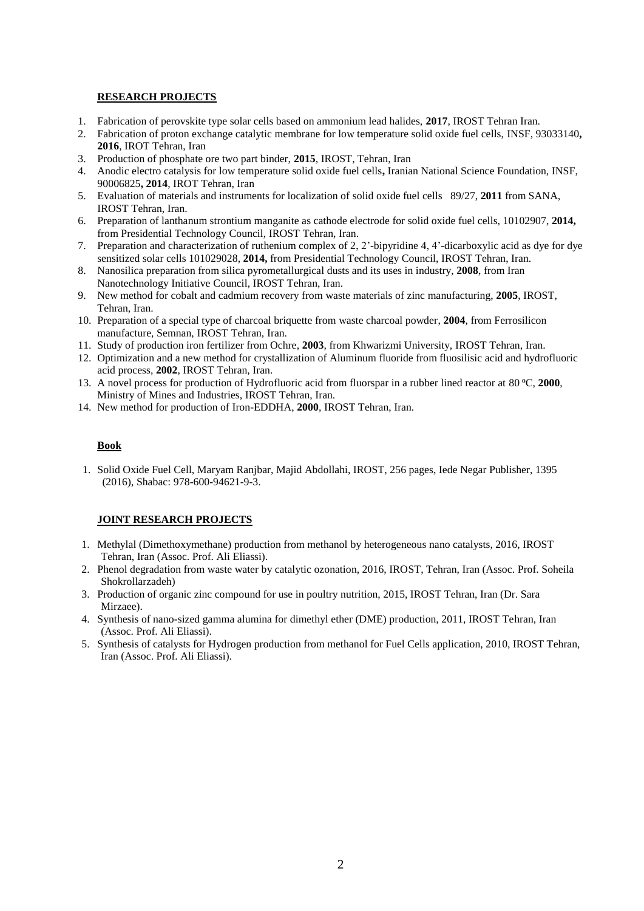## **RESEARCH PROJECTS**

- 1. Fabrication of perovskite type solar cells based on ammonium lead halides, **2017**, IROST Tehran Iran.
- 2. Fabrication of proton exchange catalytic membrane for low temperature solid oxide fuel cells, INSF, 93033140**, 2016**, IROT Tehran, Iran
- 3. Production of phosphate ore two part binder, **2015**, IROST, Tehran, Iran
- 4. Anodic electro catalysis for low temperature solid oxide fuel cells**,** Iranian National Science Foundation, INSF, 90006825**, 2014**, IROT Tehran, Iran
- 5. Evaluation of materials and instruments for localization of solid oxide fuel cells 89/27, **2011** from SANA, IROST Tehran, Iran.
- 6. Preparation of lanthanum strontium manganite as cathode electrode for solid oxide fuel cells, 10102907, **2014,** from Presidential Technology Council, IROST Tehran, Iran.
- 7. Preparation and characterization of ruthenium complex of 2, 2'-bipyridine 4, 4'-dicarboxylic acid as dye for dye sensitized solar cells 101029028, **2014,** from Presidential Technology Council, IROST Tehran, Iran.
- 8. Nanosilica preparation from silica pyrometallurgical dusts and its uses in industry, **2008**, from Iran Nanotechnology Initiative Council, IROST Tehran, Iran.
- 9. New method for cobalt and cadmium recovery from waste materials of zinc manufacturing, **2005**, IROST, Tehran, Iran.
- 10. Preparation of a special type of charcoal briquette from waste charcoal powder, **2004**, from Ferrosilicon manufacture, Semnan, IROST Tehran, Iran.
- 11. Study of production iron fertilizer from Ochre, **2003**, from Khwarizmi University, IROST Tehran, Iran.
- 12. Optimization and a new method for crystallization of Aluminum fluoride from fluosilisic acid and hydrofluoric acid process, **2002**, IROST Tehran, Iran.
- 13. A novel process for production of Hydrofluoric acid from fluorspar in a rubber lined reactor at 80 ⁰C, **2000**, Ministry of Mines and Industries, IROST Tehran, Iran.
- 14. New method for production of Iron-EDDHA, **2000**, IROST Tehran, Iran.

### **Book**

1. Solid Oxide Fuel Cell, Maryam Ranjbar, Majid Abdollahi, IROST, 256 pages, Iede Negar Publisher, 1395 (2016), Shabac: 978-600-94621-9-3.

### **JOINT RESEARCH PROJECTS**

- 1. Methylal (Dimethoxymethane) production from methanol by heterogeneous nano catalysts, 2016, IROST Tehran, Iran (Assoc. Prof. Ali Eliassi).
- 2. Phenol degradation from waste water by catalytic ozonation, 2016, IROST, Tehran, Iran (Assoc. Prof. Soheila Shokrollarzadeh)
- 3. Production of organic zinc compound for use in poultry nutrition, 2015, IROST Tehran, Iran (Dr. Sara Mirzaee).
- 4. Synthesis of nano-sized gamma alumina for dimethyl ether (DME) production, 2011, IROST Tehran, Iran (Assoc. Prof. Ali Eliassi).
- 5. Synthesis of catalysts for Hydrogen production from methanol for Fuel Cells application, 2010, IROST Tehran, Iran (Assoc. Prof. Ali Eliassi).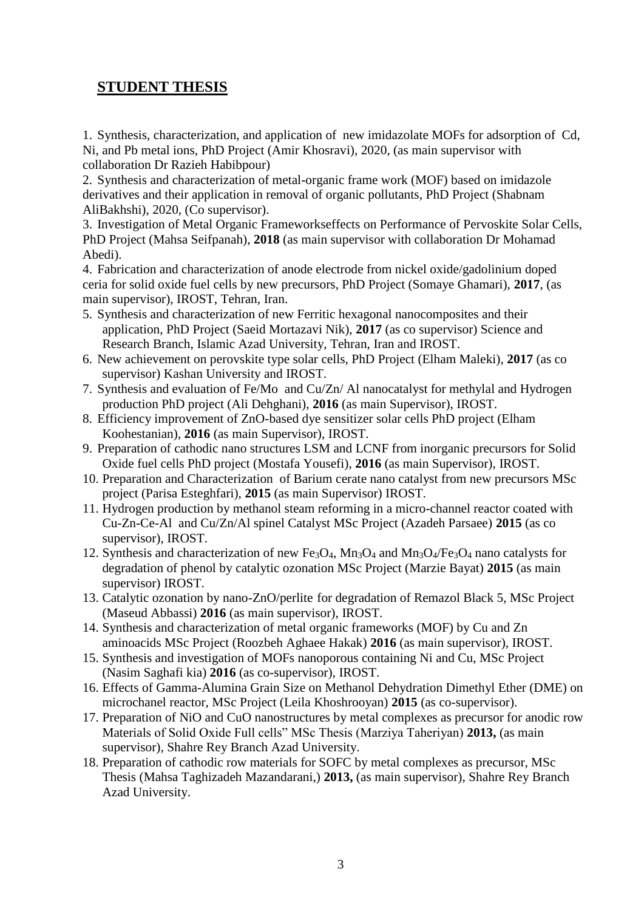# **STUDENT THESIS**

1. Synthesis, characterization, and application of new imidazolate MOFs for adsorption of Cd, Ni, and Pb metal ions, PhD Project (Amir Khosravi), 2020, (as main supervisor with collaboration Dr Razieh Habibpour)

2. Synthesis and characterization of metal-organic frame work (MOF) based on imidazole derivatives and their application in removal of organic pollutants, PhD Project (Shabnam AliBakhshi), 2020, (Co supervisor).

3. Investigation of Metal Organic Frameworkseffects on Performance of Pervoskite Solar Cells, PhD Project (Mahsa Seifpanah), **2018** (as main supervisor with collaboration Dr Mohamad Abedi).

4. Fabrication and characterization of anode electrode from nickel oxide/gadolinium doped ceria for solid oxide fuel cells by new precursors, PhD Project (Somaye Ghamari), **2017**, (as main supervisor), IROST, Tehran, Iran.

- 5. Synthesis and characterization of new Ferritic hexagonal nanocomposites and their application, PhD Project (Saeid Mortazavi Nik), **2017** (as co supervisor) Science and Research Branch, Islamic Azad University, Tehran, Iran and IROST.
- 6. New achievement on perovskite type solar cells, PhD Project (Elham Maleki), **2017** (as co supervisor) Kashan University and IROST.
- 7. Synthesis and evaluation of Fe/Mo and Cu/Zn/ Al nanocatalyst for methylal and Hydrogen production PhD project (Ali Dehghani), **2016** (as main Supervisor), IROST.
- 8. Efficiency improvement of ZnO-based dye sensitizer solar cells PhD project (Elham Koohestanian), **2016** (as main Supervisor), IROST.
- 9. Preparation of cathodic nano structures LSM and LCNF from inorganic precursors for Solid Oxide fuel cells PhD project (Mostafa Yousefi), **2016** (as main Supervisor), IROST.
- 10. Preparation and Characterization of Barium cerate nano catalyst from new precursors MSc project (Parisa Esteghfari), **2015** (as main Supervisor) IROST.
- 11. Hydrogen production by methanol steam reforming in a micro-channel reactor coated with Cu-Zn-Ce-Al and Cu/Zn/Al spinel Catalyst MSc Project (Azadeh Parsaee) **2015** (as co supervisor), IROST.
- 12. Synthesis and characterization of new Fe<sub>3</sub>O<sub>4</sub>, Mn<sub>3</sub>O<sub>4</sub> and Mn<sub>3</sub>O<sub>4</sub>/Fe<sub>3</sub>O<sub>4</sub> nano catalysts for degradation of phenol by catalytic ozonation MSc Project (Marzie Bayat) **2015** (as main supervisor) IROST.
- 13. Catalytic ozonation by nano-ZnO/perlite for degradation of Remazol Black 5, MSc Project (Maseud Abbassi) **2016** (as main supervisor), IROST.
- 14. Synthesis and characterization of metal organic frameworks (MOF) by Cu and Zn aminoacids MSc Project (Roozbeh Aghaee Hakak) **2016** (as main supervisor), IROST.
- 15. Synthesis and investigation of MOFs nanoporous containing Ni and Cu, MSc Project (Nasim Saghafi kia) **2016** (as co-supervisor), IROST.
- 16. Effects of Gamma-Alumina Grain Size on Methanol Dehydration Dimethyl Ether (DME) on microchanel reactor, MSc Project (Leila Khoshrooyan) **2015** (as co-supervisor).
- 17. Preparation of NiO and CuO nanostructures by metal complexes as precursor for anodic row Materials of Solid Oxide Full cells" MSc Thesis (Marziya Taheriyan) **2013,** (as main supervisor), Shahre Rey Branch Azad University.
- 18. Preparation of cathodic row materials for SOFC by metal complexes as precursor, MSc Thesis (Mahsa Taghizadeh Mazandarani,) **2013,** (as main supervisor), Shahre Rey Branch Azad University.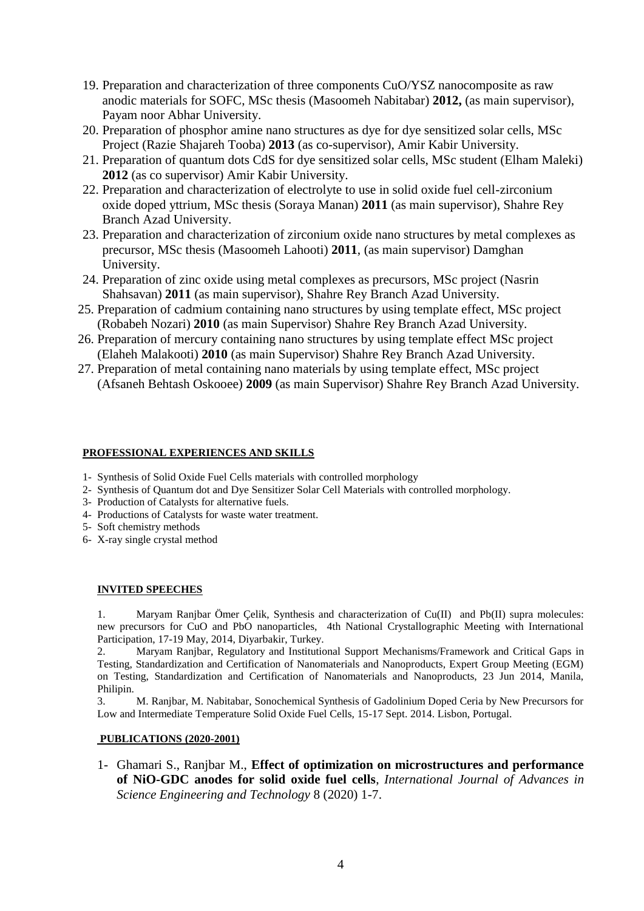- 19. Preparation and characterization of three components CuO/YSZ nanocomposite as raw anodic materials for SOFC, MSc thesis (Masoomeh Nabitabar) **2012,** (as main supervisor), Payam noor Abhar University.
- 20. Preparation of phosphor amine nano structures as dye for dye sensitized solar cells, MSc Project (Razie Shajareh Tooba) **2013** (as co-supervisor), Amir Kabir University.
- 21. Preparation of quantum dots CdS for dye sensitized solar cells, MSc student (Elham Maleki) **2012** (as co supervisor) Amir Kabir University.
- 22. Preparation and characterization of electrolyte to use in solid oxide fuel cell-zirconium oxide doped yttrium, MSc thesis (Soraya Manan) **2011** (as main supervisor), Shahre Rey Branch Azad University.
- 23. Preparation and characterization of zirconium oxide nano structures by metal complexes as precursor, MSc thesis (Masoomeh Lahooti) **2011**, (as main supervisor) Damghan University.
- 24. Preparation of zinc oxide using metal complexes as precursors, MSc project (Nasrin Shahsavan) **2011** (as main supervisor), Shahre Rey Branch Azad University.
- 25. Preparation of cadmium containing nano structures by using template effect, MSc project (Robabeh Nozari) **2010** (as main Supervisor) Shahre Rey Branch Azad University.
- 26. Preparation of mercury containing nano structures by using template effect MSc project (Elaheh Malakooti) **2010** (as main Supervisor) Shahre Rey Branch Azad University.
- 27. Preparation of metal containing nano materials by using template effect, MSc project (Afsaneh Behtash Oskooee) **2009** (as main Supervisor) Shahre Rey Branch Azad University.

# **PROFESSIONAL EXPERIENCES AND SKILLS**

- 1- Synthesis of Solid Oxide Fuel Cells materials with controlled morphology
- 2- Synthesis of Quantum dot and Dye Sensitizer Solar Cell Materials with controlled morphology.
- 3- Production of Catalysts for alternative fuels.
- 4- Productions of Catalysts for waste water treatment.
- 5- Soft chemistry methods
- 6- X-ray single crystal method

## **INVITED SPEECHES**

1. Maryam Ranjbar Ömer Çelik, Synthesis and characterization of Cu(II) and Pb(II) supra molecules: new precursors for CuO and PbO nanoparticles, 4th National Crystallographic Meeting with International Participation, 17-19 May, 2014, Diyarbakir, Turkey.

2. Maryam Ranjbar, Regulatory and Institutional Support Mechanisms/Framework and Critical Gaps in Testing, Standardization and Certification of Nanomaterials and Nanoproducts, Expert Group Meeting (EGM) on Testing, Standardization and Certification of Nanomaterials and Nanoproducts, 23 Jun 2014, Manila, Philipin.

3. M. Ranjbar, M. Nabitabar, Sonochemical Synthesis of Gadolinium Doped Ceria by New Precursors for Low and Intermediate Temperature Solid Oxide Fuel Cells, 15-17 Sept. 2014. Lisbon, Portugal.

## **PUBLICATIONS (2020-2001)**

1- Ghamari S., Ranjbar M., **Effect of optimization on microstructures and performance of NiO-GDC anodes for solid oxide fuel cells**, *International Journal of Advances in Science Engineering and Technology* 8 (2020) 1-7.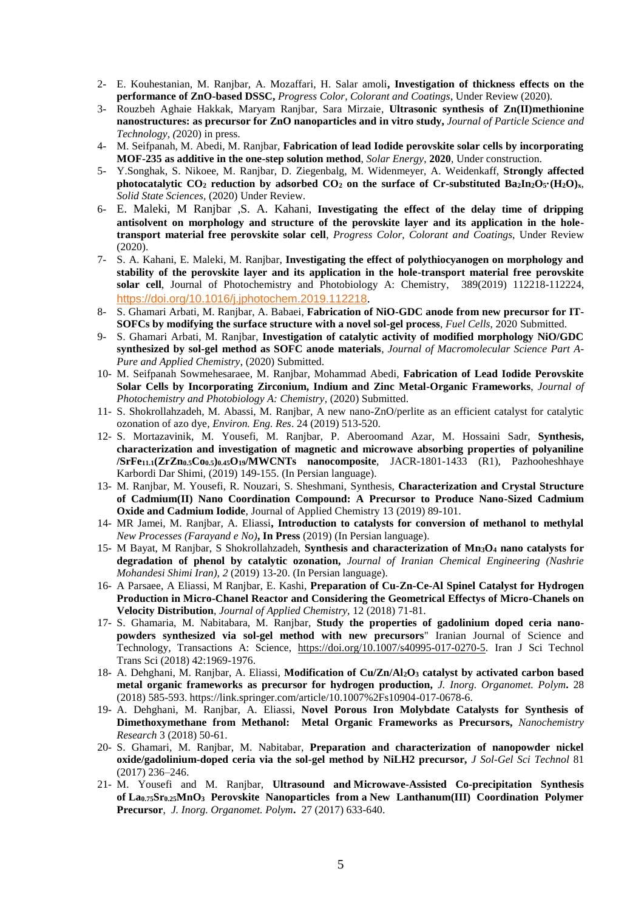- 2- E. Kouhestanian, M. Ranjbar, A. Mozaffari, H. Salar amoli**, Investigation of thickness effects on the performance of ZnO-based DSSC,** *Progress Color, Colorant and Coatings*, Under Review (2020).
- 3- Rouzbeh Aghaie Hakkak, Maryam Ranjbar, Sara Mirzaie, **Ultrasonic synthesis of Zn(II)methionine nanostructures: as precursor for ZnO nanoparticles and in vitro study,** *Journal of Particle Science and Technology, (*2020) in press.
- 4- M. Seifpanah, M. Abedi, M. Ranjbar, **Fabrication of lead Iodide perovskite solar cells by incorporating MOF-235 as additive in the one-step solution method**, *Solar Energy*, **2020**, Under construction.
- 5- Y.Songhak, S. Nikoee, M. Ranjbar, D. Ziegenbalg, M. Widenmeyer, A. Weidenkaff, **Strongly affected photocatalytic CO<sub>2</sub> reduction by adsorbed CO<sub>2</sub> on the surface of Cr-substituted Ba<sub>2</sub>In<sub>2</sub>O<sub>5</sub><sup></sup>·(H<sub>2</sub>O)<sub>***x***</sub>,** *Solid State Sciences*, (2020) Under Review.
- 6- E. Maleki, M Ranjbar ,S. A. Kahani, **Investigating the effect of the delay time of dripping antisolvent on morphology and structure of the perovskite layer and its application in the holetransport material free perovskite solar cell**, *Progress Color, Colorant and Coatings*, Under Review (2020).
- 7- S. A. Kahani, E. Maleki, M. Ranjbar, **Investigating the effect of polythiocyanogen on morphology and stability of the perovskite layer and its application in the hole-transport material free perovskite solar cell**, Journal of Photochemistry and Photobiology A: Chemistry, [389\(](https://www.sciencedirect.com/science/journal/10106030/389/supp/C)2019) 112218-112224, <https://doi.org/10.1016/j.jphotochem.2019.112218>.
- 8- S. Ghamari Arbati, M. Ranjbar, A. Babaei, **Fabrication of NiO-GDC anode from new precursor for IT-SOFCs by modifying the surface structure with a novel sol-gel process**, *Fuel Cells*, 2020 Submitted.
- 9- S. Ghamari Arbati, M. Ranjbar, **Investigation of catalytic activity of modified morphology NiO/GDC synthesized by sol-gel method as SOFC anode materials**, *Journal of Macromolecular Science Part A-Pure and Applied Chemistry*, (2020) Submitted.
- 10- M. Seifpanah Sowmehesaraee, M. Ranjbar, Mohammad Abedi, **Fabrication of Lead Iodide Perovskite Solar Cells by Incorporating Zirconium, Indium and Zinc Metal-Organic Frameworks**, *Journal of Photochemistry and Photobiology A: Chemistry,* (2020) Submitted.
- 11- S. Shokrollahzadeh, M. Abassi, M. Ranjbar, A new nano-ZnO/perlite as an efficient catalyst for catalytic ozonation of azo dye, *Environ. Eng. Res*. 24 (2019) 513-520.
- 12- S. Mortazavinik, M. Yousefi, M. Ranjbar, P. Aberoomand Azar, M. Hossaini Sadr, **Synthesis, characterization and investigation of magnetic and microwave absorbing properties of polyaniline /SrFe11.1(ZrZn0.5Co0.5)0.45O19/MWCNTs nanocomposite**, JACR-1801-1433 (R1), Pazhooheshhaye Karbordi Dar Shimi, (2019) 149-155. (In Persian language).
- 13- M. Ranjbar, M. Yousefi, R. Nouzari, S. Sheshmani, Synthesis, **Characterization and Crystal Structure of Cadmium(II) Nano Coordination Compound: A Precursor to Produce Nano-Sized Cadmium Oxide and Cadmium Iodide**, Journal of Applied Chemistry 13 (2019) 89-101.
- 14- MR Jamei, M. Ranjbar, A. Eliassi**, Introduction to catalysts for conversion of methanol to methylal** *New Processes (Farayand e No)***, In Press** (2019) (In Persian language).
- 15- M Bayat, M Ranjbar, S Shokrollahzadeh, **Synthesis and characterization of Mn3O<sup>4</sup> nano catalysts for degradation of phenol by catalytic ozonation,** *Journal of Iranian Chemical Engineering (Nashrie Mohandesi Shimi Iran), 2* (2019) 13-20. (In Persian language).
- 16- A Parsaee, A Eliassi, M Ranjbar, E. Kashi, **Preparation of Cu-Zn-Ce-Al Spinel Catalyst for Hydrogen Production in Micro-Chanel Reactor and Considering the Geometrical Effectys of Micro-Chanels on Velocity Distribution**, *Journal of Applied Chemistry,* 12 (2018) 71-81.
- 17- S. Ghamaria, M. Nabitabara, M. Ranjbar, **Study the properties of gadolinium doped ceria nanopowders synthesized via sol-gel method with new precursors**" Iranian Journal of Science and Technology, Transactions A: Science, [https://doi.org/10.1007/s40995-017-0270-5.](https://doi.org/10.1007/s40995-017-0270-5) Iran J Sci Technol Trans Sci (2018) 42:1969-1976.
- 18- A. Dehghani, M. Ranjbar, A. Eliassi, **Modification of Cu/Zn/Al2O<sup>3</sup> catalyst by activated carbon based metal organic frameworks as precursor for hydrogen production,** *J. Inorg. Organomet. Polym***.** 28 (2018) 585-593. https://link.springer.com/article/10.1007%2Fs10904-017-0678-6.
- 19- A. Dehghani, M. Ranjbar, A. Eliassi, **Novel Porous Iron Molybdate Catalysts for Synthesis of Dimethoxymethane from Methanol: Metal Organic Frameworks as Precursors,** *Nanochemistry Research* 3 (2018) 50-61.
- 20- S. Ghamari, M. Ranjbar, M. Nabitabar, **Preparation and characterization of nanopowder nickel oxide/gadolinium-doped ceria via the sol-gel method by NiLH2 precursor,** *J Sol-Gel Sci Technol* 81 (2017) 236–246.
- 21- M. Yousefi and M. Ranjbar, **Ultrasound and Microwave-Assisted Co-precipitation Synthesis of La0.75Sr0.25MnO<sup>3</sup> Perovskite Nanoparticles from a New Lanthanum(III) Coordination Polymer Precursor**,*J. Inorg. Organomet. Polym***.** 27 (2017) 633-640.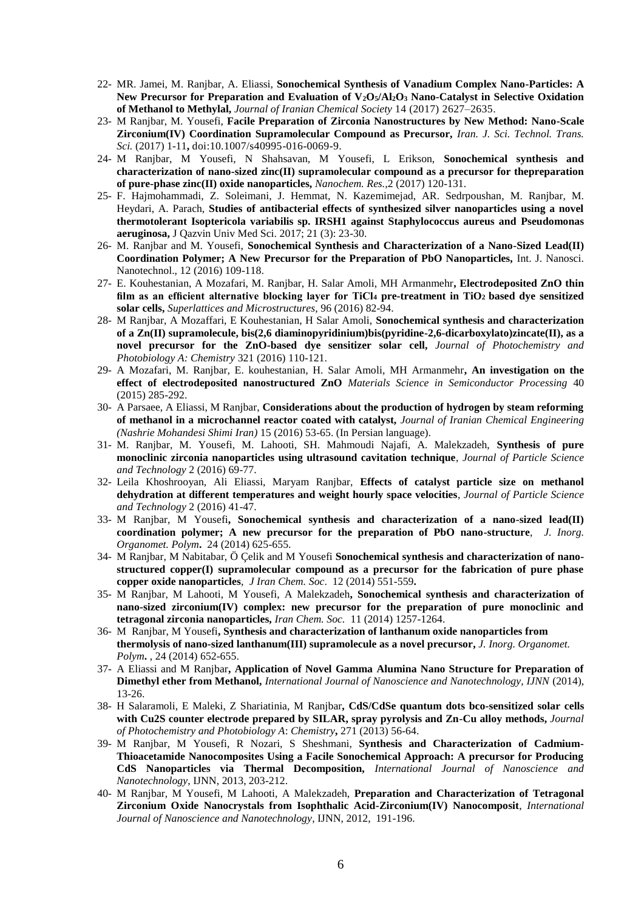- 22- MR. Jamei, M. Ranjbar, A. Eliassi, **Sonochemical Synthesis of Vanadium Complex Nano-Particles: A New Precursor for Preparation and Evaluation of V2O5/Al2O<sup>3</sup> Nano-Catalyst in Selective Oxidation of Methanol to Methylal,** *Journal of Iranian Chemical Society* 14 (2017) 2627–2635.
- 23- M Ranjbar, M. Yousefi, **Facile Preparation of Zirconia Nanostructures by New Method: Nano-Scale Zirconium(IV) Coordination Supramolecular Compound as Precursor,** *Iran. J. Sci. Technol. Trans. Sci.* (2017) 1-11**,** doi:10.1007/s40995-016-0069-9.
- 24- M Ranjbar, M Yousefi, N Shahsavan, M Yousefi, L Erikson, **Sonochemical synthesis and characterization of nano-sized zinc(II) supramolecular compound as a precursor for thepreparation of pure-phase zinc(II) oxide nanoparticles,** *Nanochem. Res.,*2 (2017) 120-131.
- 25- F. Hajmohammadi, Z. Soleimani, J. Hemmat, N. Kazemimejad, AR. Sedrpoushan, M. Ranjbar, M. Heydari, A. Parach, **Studies of antibacterial effects of synthesized silver nanoparticles using a novel thermotolerant Isoptericola variabilis sp. IRSH1 against Staphylococcus aureus and Pseudomonas aeruginosa,** J Qazvin Univ Med Sci. 2017; 21 (3): 23-30.
- 26- M. Ranjbar and M. Yousefi, **Sonochemical Synthesis and Characterization of a Nano-Sized Lead(II) Coordination Polymer; A New Precursor for the Preparation of PbO Nanoparticles,** Int. J. Nanosci. Nanotechnol., 12 (2016) 109-118.
- 27- E. Kouhestanian, A Mozafari, M. Ranjbar, H. Salar Amoli, MH Armanmehr**, Electrodeposited ZnO thin film as an efficient alternative blocking layer for TiCl<sup>4</sup> pre-treatment in TiO2 based dye sensitized solar cells,** *Superlattices and Microstructures*, 96 (2016) 82-94.
- 28- M Ranjbar, A Mozaffari, E Kouhestanian, H Salar Amoli, **Sonochemical synthesis and characterization of a Zn(II) supramolecule, bis(2,6 diaminopyridinium)bis(pyridine-2,6-dicarboxylato)zincate(II), as a novel precursor for the ZnO-based dye sensitizer solar cell,** *Journal of Photochemistry and Photobiology A: Chemistry* 321 (2016) 110-121.
- 29- A Mozafari, M. Ranjbar, E. kouhestanian, H. Salar Amoli, MH Armanmehr**, An investigation on the effect of electrodeposited nanostructured ZnO** *Materials Science in Semiconductor Processing* 40 (2015) 285-292.
- 30- A Parsaee, A Eliassi, M Ranjbar, **Considerations about the production of hydrogen by steam reforming of methanol in a microchannel reactor coated with catalyst,** *Journal of Iranian Chemical Engineering (Nashrie Mohandesi Shimi Iran)* 15 (2016) 53-65. (In Persian language).
- 31- M. Ranjbar, M. Yousefi, M. Lahooti, SH. Mahmoudi Najafi, A. Malekzadeh, **Synthesis of pure monoclinic zirconia nanoparticles using ultrasound cavitation technique**, *Journal of Particle Science and Technology* 2 (2016) 69-77.
- 32- Leila Khoshrooyan, Ali Eliassi, Maryam Ranjbar, **Effects of catalyst particle size on methanol dehydration at different temperatures and weight hourly space velocities**, *Journal of Particle Science and Technology* 2 (2016) 41-47.
- 33- M Ranjbar, M Yousefi**, Sonochemical synthesis and characterization of a nano-sized lead(II) coordination polymer; A new precursor for the preparation of PbO nano-structure**,*J. Inorg. Organomet. Polym***.** 24 (2014) 625-655.
- 34- M Ranjbar, M Nabitabar, Ö Çelik and M Yousefi **Sonochemical synthesis and characterization of nanostructured copper(I) supramolecular compound as a precursor for the fabrication of pure phase copper oxide nanoparticles**, *J Iran Chem. Soc*. 12 (2014) 551-559**.**
- 35- M Ranjbar, M Lahooti, M Yousefi, A Malekzadeh**, Sonochemical synthesis and characterization of nano-sized zirconium(IV) complex: new precursor for the preparation of pure monoclinic and tetragonal zirconia nanoparticles,** *Iran Chem. Soc.*11 (2014) 1257-1264.
- 36- M Ranjbar, M Yousefi**, Synthesis and characterization of lanthanum oxide nanoparticles from thermolysis of nano-sized lanthanum(III) supramolecule as a novel precursor,** *J. Inorg. Organomet. Polym***.** , 24 (2014) 652-655.
- 37- A Eliassi and M Ranjbar**, Application of Novel Gamma Alumina Nano Structure for Preparation of Dimethyl ether from Methanol,** *International Journal of Nanoscience and Nanotechnology, IJNN* (2014), 13-26.
- 38- H Salaramoli, E Maleki, Z Shariatinia, M Ranjbar**, CdS/CdSe quantum dots bco-sensitized solar cells with Cu2S counter electrode prepared by SILAR, spray pyrolysis and Zn-Cu alloy methods,** *Journal of Photochemistry and Photobiology A*: *Chemistry***,** 271 (2013) 56-64.
- 39- M Ranjbar, M Yousefi, R Nozari, S Sheshmani, **Synthesis and Characterization of Cadmium-Thioacetamide Nanocomposites Using a Facile Sonochemical Approach: A precursor for Producing CdS Nanoparticles via Thermal Decomposition,** *International Journal of Nanoscience and Nanotechnology*, IJNN, 2013, 203-212.
- 40- M Ranjbar, M Yousefi, M Lahooti, A Malekzadeh, **Preparation and Characterization of Tetragonal Zirconium Oxide Nanocrystals from Isophthalic Acid-Zirconium(IV) Nanocomposit**, *International Journal of Nanoscience and Nanotechnology*, IJNN, 2012, 191-196.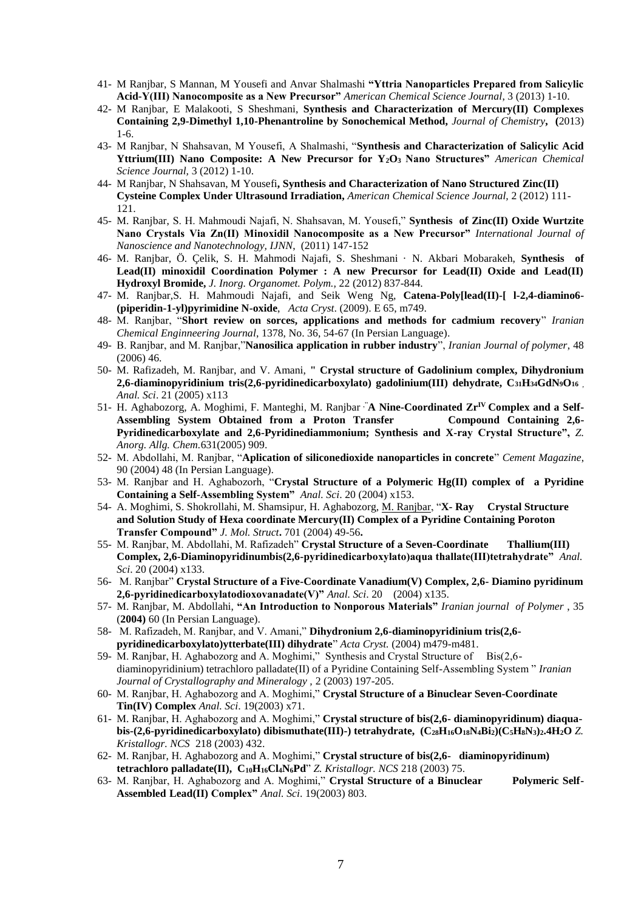- 41- M Ranjbar, S Mannan, M Yousefi and Anvar Shalmashi **"Yttria Nanoparticles Prepared from Salicylic Acid-Y(III) Nanocomposite as a New Precursor"** *American Chemical Science Journal*, 3 (2013) 1-10.
- 42- M Ranjbar, E Malakooti, S Sheshmani, **Synthesis and Characterization of Mercury(II) Complexes Containing 2,9-Dimethyl 1,10-Phenantroline by Sonochemical Method,** *Journal of Chemistry***, (**2013) 1-6.
- 43- M Ranjbar, N Shahsavan, M Yousefi, A Shalmashi, "**Synthesis and Characterization of Salicylic Acid Yttrium(III) Nano Composite: A New Precursor for Y2O3 Nano Structures"** *American Chemical Science Journal,* 3 (2012) 1-10.
- 44- M Ranjbar, N Shahsavan, M Yousefi**, Synthesis and Characterization of Nano Structured Zinc(II) Cysteine Complex Under Ultrasound Irradiation,** *American Chemical Science Journal,* 2 (2012) 111- 121.
- 45- M. Ranjbar, S. H. Mahmoudi Najafi, N. Shahsavan, M. Yousefi," **Synthesis of Zinc(II) Oxide Wurtzite Nano Crystals Via Zn(II) Minoxidil Nanocomposite as a New Precursor"** *International Journal of Nanoscience and Nanotechnology, IJNN*, (2011) 147-152
- 46- M. Ranjbar, Ö. Çelik, S. H. Mahmodi Najafi, S. Sheshmani · N. Akbari Mobarakeh, **Synthesis of Lead(II) minoxidil Coordination Polymer : A new Precursor for Lead(II) Oxide and Lead(II) Hydroxyl Bromide,** *J. Inorg. Organomet. Polym.,* 22 (2012) 837-844.
- 47- M. Ranjbar,S. H. Mahmoudi Najafi, and Seik Weng Ng, **Catena-Poly[lead(II)-[ l-2,4-diamino6- (piperidin-1-yl)pyrimidine N-oxide**, *Acta Cryst*. (2009). E 65, m749.
- 48- M. Ranjbar, "**Short review on sorces, applications and methods for cadmium recovery**" *Iranian Chemical Enginneering Journal*, 1378, No. 36, 54-67 (In Persian Language).
- 49- B. Ranjbar, and M. Ranjbar,"**Nanosilica application in rubber industry**", *Iranian Journal of polymer*, 48 (2006) 46.
- 50- M. Rafizadeh, M. Ranjbar, and V. Amani, **" Crystal structure of Gadolinium complex, Dihydronium 2,6-diaminopyridinium tris(2,6-pyridinedicarboxylato) gadolinium(III) dehydrate, C31H34GdN9O<sup>16</sup>** , *Anal. Sci*. 21 (2005) x113
- 51- H. Aghabozorg, A. Moghimi, F. Manteghi, M. Ranjbar<sup>,"</sup>**A Nine-Coordinated Zr<sup>IV</sup> Complex and a Self-Assembling System Obtained from a Proton Transfer Compound Containing 2,6- Pyridinedicarboxylate and 2,6-Pyridinediammonium; Synthesis and X-ray Crystal Structure",** *Z. Anorg. Allg. Chem.*631(2005) 909.
- 52- M. Abdollahi, M. Ranjbar, "**Aplication of siliconedioxide nanoparticles in concrete**" *Cement Magazine*, 90 (2004) 48 (In Persian Language).
- 53- M. Ranjbar and H. Aghabozorh, "**Crystal Structure of a Polymeric Hg(II) complex of a Pyridine Containing a Self-Assembling System"** *Anal. Sci*. 20 (2004) x153.
- 54- A. Moghimi, S. Shokrollahi, M. Shamsipur, H. Aghabozorg, M. Ranjbar, "**X- Ray Crystal Structure and Solution Study of Hexa coordinate Mercury(II) Complex of a Pyridine Containing Poroton Transfer Compound"** *J. Mol. Struct***.** 701 (2004) 49-56**.**
- 55- M. Ranjbar, M. Abdollahi, M. Rafizadeh" **Crystal Structure of a Seven-Coordinate Thallium(III) Complex, 2,6-Diaminopyridinumbis(2,6-pyridinedicarboxylato)aqua thallate(III)tetrahydrate"** *Anal. Sci*. 20 (2004) x133.
- 56- M. Ranjbar" **Crystal Structure of a Five-Coordinate Vanadium(V) Complex, 2,6- Diamino pyridinum 2,6-pyridinedicarboxylatodioxovanadate(V)"** *Anal. Sci*. 20 (2004) x135.
- 57- M. Ranjbar, M. Abdollahi, **"An Introduction to Nonporous Materials"** *Iranian journal of Polymer* , 35 (**2004)** 60 (In Persian Language).
- 58- M. Rafizadeh, M. Ranjbar, and V. Amani," **Dihydronium 2,6-diaminopyridinium tris(2,6 pyridinedicarboxylato)ytterbate(III) dihydrate**" *Acta Cryst.* (2004) m479-m481.
- 59- M. Ranjbar, H. Aghabozorg and A. Moghimi," Synthesis and Crystal Structure of Bis(2,6diaminopyridinium) tetrachloro palladate(II) of a Pyridine Containing Self-Assembling System " *Iranian Journal of Crystallography and Mineralogy ,* 2 (2003) 197-205.
- 60- M. Ranjbar, H. Aghabozorg and A. Moghimi," **Crystal Structure of a Binuclear Seven-Coordinate Tin(IV) Complex** *Anal. Sci*. 19(2003) x71.
- 61- M. Ranjbar, H. Aghabozorg and A. Moghimi," **Crystal structure of bis(2,6- diaminopyridinum) diaqua**bis- $(2,6$ -pyridinedicarboxylato) dibismuthate(III)-) tetrahydrate,  $(C_{28}H_{16}O_{18}N_4Bi_2)(C_5H_8N_3)_{2.4}H_{2}O$  Z. *Kristallogr. NCS* 218 (2003) 432.
- 62- M. Ranjbar, H. Aghabozorg and A. Moghimi," **Crystal structure of bis(2,6- diaminopyridinum) tetrachloro palladate(II), C10H16Cl4N6Pd**" *Z. Kristallogr. NCS* 218 (2003) 75.
- 63- M. Ranjbar, H. Aghabozorg and A. Moghimi," **Crystal Structure of a Binuclear Polymeric Self-Assembled Lead(II) Complex"** *Anal. Sci*. 19(2003) 803.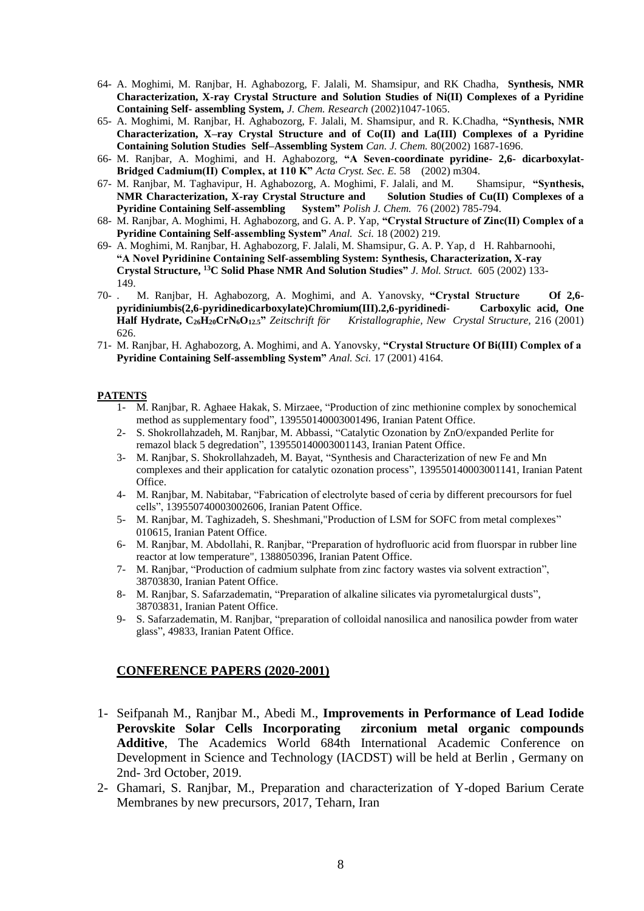- 64- A. Moghimi, M. Ranjbar, H. Aghabozorg, F. Jalali, M. Shamsipur, and RK Chadha, **Synthesis, NMR Characterization, X-ray Crystal Structure and Solution Studies of Ni(II) Complexes of a Pyridine Containing Self- assembling System,** *J. Chem. Research* (2002)1047-1065.
- 65- A. Moghimi, M. Ranjbar, H. Aghabozorg, F. Jalali, M. Shamsipur, and R. K.Chadha, **"Synthesis, NMR Characterization, X–ray Crystal Structure and of Co(II) and La(III) Complexes of a Pyridine Containing Solution Studies Self–Assembling System** *Can. J. Chem.* 80(2002) 1687-1696.
- 66- M. Ranjbar, A. Moghimi, and H. Aghabozorg, **"A Seven-coordinate pyridine- 2,6- dicarboxylat-**Bridged Cadmium(II) Complex, at 110 K" *Acta Cryst. Sec. E.* 58 (2002) m304.
- 67- M. Ranjbar, M. Taghavipur, H. Aghabozorg, A. Moghimi, F. Jalali, and M. Shamsipur, **"Synthesis, NMR Characterization, X-ray Crystal Structure and Solution Studies of Cu(II) Complexes of a Pyridine Containing Self-assembling System**" Polish J. Chem. 76 (2002) 785-794. **Pyridine Containing Self-assembling System"** *Polish J. Chem.* 76 (2002) 785-794.
- 68- M. Ranjbar, A. Moghimi, H. Aghabozorg, and G. A. P. Yap, **"Crystal Structure of Zinc(II) Complex of a Pyridine Containing Self-assembling System"** *Anal. Sci.* 18 (2002) 219.
- 69- A. Moghimi, M. Ranjbar, H. Aghabozorg, F. Jalali, M. Shamsipur, G. A. P. Yap, d H. Rahbarnoohi, **"A Novel Pyridinine Containing Self-assembling System: Synthesis, Characterization, X-ray Crystal Structure, <sup>13</sup>C Solid Phase NMR And Solution Studies"** *J. Mol. Struct.* 605 (2002) 133- 149.
- 70- . M. Ranjbar, H. Aghabozorg, A. Moghimi, and A. Yanovsky, **"Crystal Structure Of 2,6 pyridiniumbis(2,6-pyridinedicarboxylate)Chromium(III).2,6-pyridinedi- Carboxylic acid, One Half Hydrate, C26H20CrN6O12.5"** *Zeitschrift för Kristallographie, New Crystal Structure,* 216 (2001) 626.
- 71- M. Ranjbar, H. Aghabozorg, A. Moghimi, and A. Yanovsky, **"Crystal Structure Of Bi(III) Complex of a Pyridine Containing Self-assembling System"** *Anal. Sci.* 17 (2001) 4164.

### **PATENTS**

- 1- M. Ranjbar, R. Aghaee Hakak, S. Mirzaee, "Production of zinc methionine complex by sonochemical method as supplementary food", 139550140003001496, Iranian Patent Office.
- 2- S. Shokrollahzadeh, M. Ranjbar, M. Abbassi, "Catalytic Ozonation by ZnO/expanded Perlite for remazol black 5 degredation", 139550140003001143, Iranian Patent Office.
- 3- M. Ranjbar, S. Shokrollahzadeh, M. Bayat, "Synthesis and Characterization of new Fe and Mn complexes and their application for catalytic ozonation process", 139550140003001141, Iranian Patent Office.
- 4- M. Ranjbar, M. Nabitabar, "Fabrication of electrolyte based of ceria by different precoursors for fuel cells", 139550740003002606, Iranian Patent Office.
- 5- M. Ranjbar, M. Taghizadeh, S. Sheshmani,"Production of LSM for SOFC from metal complexes" 010615, Iranian Patent Office.
- 6- M. Ranjbar, M. Abdollahi, R. Ranjbar, "Preparation of hydrofluoric acid from fluorspar in rubber line reactor at low temperature", 1388050396, Iranian Patent Office.
- 7- M. Ranjbar, "Production of cadmium sulphate from zinc factory wastes via solvent extraction", 38703830, Iranian Patent Office.
- 8- M. Ranjbar, S. Safarzadematin, "Preparation of alkaline silicates via pyrometalurgical dusts", 38703831, Iranian Patent Office.
- 9- S. Safarzadematin, M. Ranjbar, "preparation of colloidal nanosilica and nanosilica powder from water glass", 49833, Iranian Patent Office.

## **CONFERENCE PAPERS (2020-2001)**

- 1- Seifpanah M., Ranjbar M., Abedi M., **Improvements in Performance of Lead Iodide Perovskite Solar Cells Incorporating zirconium metal organic compounds Additive**, The Academics World 684th International Academic Conference on Development in Science and Technology (IACDST) will be held at Berlin , Germany on 2nd- 3rd October, 2019.
- 2- Ghamari, S. Ranjbar, M., Preparation and characterization of Y-doped Barium Cerate Membranes by new precursors, 2017, Teharn, Iran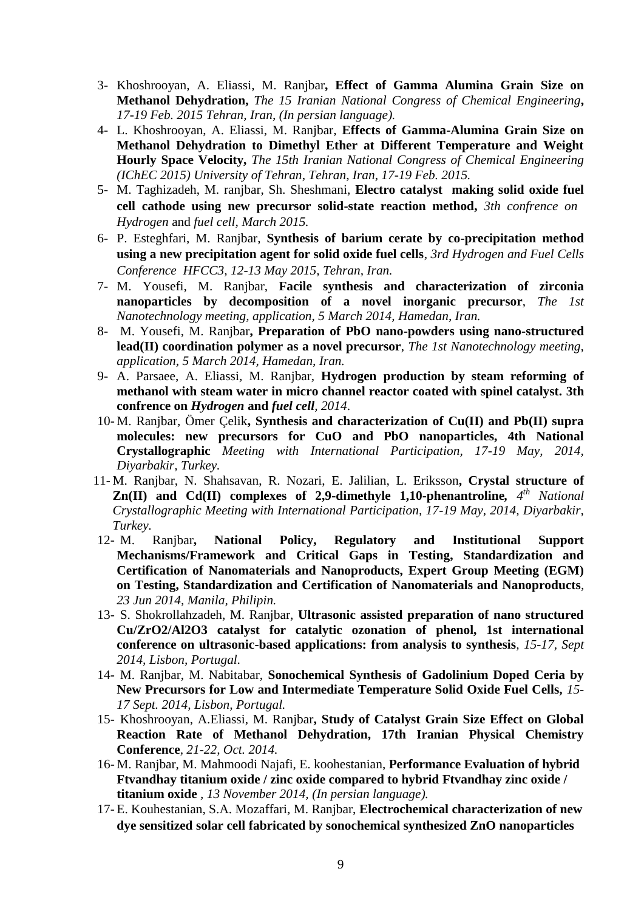- 3- Khoshrooyan, A. Eliassi, M. Ranjbar**, Effect of Gamma Alumina Grain Size on Methanol Dehydration,** *The 15 Iranian National Congress of Chemical Engineering***,**  *17-19 Feb. 2015 Tehran, Iran, (In persian language).*
- 4- L. Khoshrooyan, A. Eliassi, M. Ranjbar, **Effects of Gamma-Alumina Grain Size on Methanol Dehydration to Dimethyl Ether at Different Temperature and Weight Hourly Space Velocity,** *The 15th Iranian National Congress of Chemical Engineering (IChEC 2015) University of Tehran*, *Tehran*, *Iran*, *17-19 Feb. 2015.*
- 5- M. Taghizadeh, M. ranjbar, Sh. Sheshmani, **Electro catalyst making solid oxide fuel cell cathode using new precursor solid-state reaction method,** *3th confrence on Hydrogen* and *fuel cell, March 2015.*
- 6- P. Esteghfari, M. Ranjbar, **Synthesis of barium cerate by co-precipitation method using a new precipitation agent for solid oxide fuel cells**, *3rd Hydrogen and Fuel Cells Conference HFCC3, 12-13 May 2015, Tehran, Iran.*
- 7- M. Yousefi, M. Ranjbar, **Facile synthesis and characterization of zirconia nanoparticles by decomposition of a novel inorganic precursor**, *The 1st Nanotechnology meeting, application, 5 March 2014, Hamedan, Iran.*
- 8- M. Yousefi, M. Ranjbar**, Preparation of PbO nano-powders using nano-structured lead(II) coordination polymer as a novel precursor**, *The 1st Nanotechnology meeting, application, 5 March 2014, Hamedan, Iran.*
- 9- A. Parsaee, A. Eliassi*,* M. Ranjbar*,* **Hydrogen production by steam reforming of methanol with steam water in micro channel reactor coated with spinel catalyst. 3th confrence on** *Hydrogen* **and** *fuel cell, 2014*.
- 10- M. Ranjbar, Ömer Çelik**, Synthesis and characterization of Cu(II) and Pb(II) supra molecules: new precursors for CuO and PbO nanoparticles, 4th National Crystallographic** *Meeting with International Participation, 17-19 May, 2014, Diyarbakir, Turkey.*
- 11- M. Ranjbar, N. Shahsavan, R. Nozari, E. Jalilian, L. Eriksson**, Crystal structure of Zn(II)** and Cd(II) complexes of 2,9-dimethyle 1,10-phenantroline,  $4^{th}$  National *Crystallographic Meeting with International Participation, 17-19 May, 2014, Diyarbakir, Turkey.*
- 12- M. Ranjbar**, National Policy, Regulatory and Institutional Support Mechanisms/Framework and Critical Gaps in Testing, Standardization and Certification of Nanomaterials and Nanoproducts, Expert Group Meeting (EGM) on Testing, Standardization and Certification of Nanomaterials and Nanoproducts***, 23 Jun 2014, Manila, Philipin.*
- 13- S. Shokrollahzadeh, M. Ranjbar, **Ultrasonic assisted preparation of nano structured Cu/ZrO2/Al2O3 catalyst for catalytic ozonation of phenol, 1st international conference on ultrasonic-based applications: from analysis to synthesis***, 15-17, Sept 2014, Lisbon, Portugal.*
- 14- M. Ranjbar, M. Nabitabar, **Sonochemical Synthesis of Gadolinium Doped Ceria by New Precursors for Low and Intermediate Temperature Solid Oxide Fuel Cells,** *15- 17 Sept. 2014, Lisbon, Portugal.*
- 15- Khoshrooyan, A.Eliassi, M. Ranjbar**, Study of Catalyst Grain Size Effect on Global Reaction Rate of Methanol Dehydration, 17th Iranian Physical Chemistry Conference***, 21-22, Oct. 2014.*
- 16- M. Ranjbar, M. Mahmoodi Najafi, E. koohestanian, **Performance Evaluation of hybrid Ftvandhay titanium oxide / zinc oxide compared to hybrid Ftvandhay zinc oxide / titanium oxide** *, 13 November 2014, (In persian language).*
- 17- E. Kouhestanian, S.A. Mozaffari, M. Ranjbar, **Electrochemical characterization of new dye sensitized solar cell fabricated by sonochemical synthesized ZnO nanoparticles**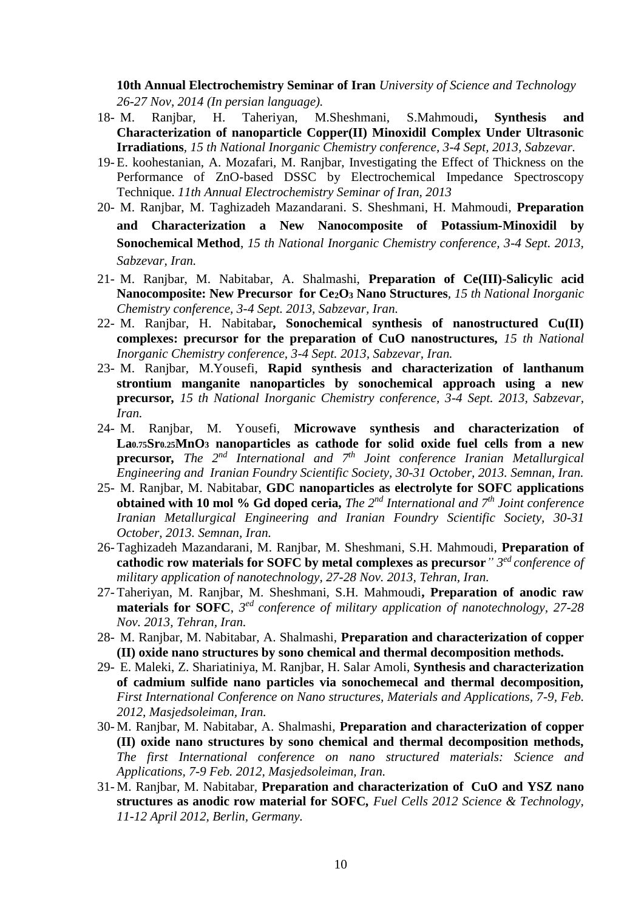**10th Annual Electrochemistry Seminar of Iran** *University of Science and Technology 26-27 Nov, 2014 (In persian language).*

- 18- M. Ranjbar, H. Taheriyan, M.Sheshmani, S.Mahmoudi**, Synthesis and Characterization of nanoparticle Copper(II) Minoxidil Complex Under Ultrasonic Irradiations***, 15 th National Inorganic Chemistry conference, 3-4 Sept, 2013, Sabzevar.*
- 19- E. koohestanian, A. Mozafari, M. Ranjbar, Investigating the Effect of Thickness on the Performance of ZnO-based DSSC by Electrochemical Impedance Spectroscopy Technique. *11th Annual Electrochemistry Seminar of Iran, 2013*
- 20- M. Ranjbar, M. Taghizadeh Mazandarani. S. Sheshmani, H. Mahmoudi, **Preparation and Characterization a New Nanocomposite of Potassium-Minoxidil by Sonochemical Method**, *15 th National Inorganic Chemistry conference, 3-4 Sept. 2013, Sabzevar, Iran.*
- 21- M. Ranjbar, M. Nabitabar, A. Shalmashi, **Preparation of Ce(III)-Salicylic acid Nanocomposite: New Precursor for Ce2O<sup>3</sup> Nano Structures***, 15 th National Inorganic Chemistry conference, 3-4 Sept. 2013, Sabzevar, Iran.*
- 22- M. Ranjbar, H. Nabitabar**, Sonochemical synthesis of nanostructured Cu(II) complexes: precursor for the preparation of CuO nanostructures***, 15 th National Inorganic Chemistry conference, 3-4 Sept. 2013, Sabzevar, Iran.*
- 23- M. Ranjbar, M.Yousefi, **Rapid synthesis and characterization of lanthanum strontium manganite nanoparticles by sonochemical approach using a new precursor***, 15 th National Inorganic Chemistry conference, 3-4 Sept. 2013, Sabzevar, Iran.*
- 24- M. Ranjbar, M. Yousefi, **Microwave synthesis and characterization of La0.75Sr0.25MnO<sup>3</sup> nanoparticles as cathode for solid oxide fuel cells from a new precursor***, The 2nd International and 7th Joint conference Iranian Metallurgical Engineering and Iranian Foundry Scientific Society, 30-31 October, 2013. Semnan, Iran.*
- 25- M. Ranjbar, M. Nabitabar, **GDC nanoparticles as electrolyte for SOFC applications obtained with 10 mol % Gd doped ceria,** *The 2nd International and 7th Joint conference Iranian Metallurgical Engineering and Iranian Foundry Scientific Society, 30-31 October, 2013. Semnan, Iran.*
- 26- Taghizadeh Mazandarani, M. Ranjbar, M. Sheshmani, S.H. Mahmoudi, **Preparation of cathodic row materials for SOFC by metal complexes as precursor***" 3 ed conference of military application of nanotechnology, 27-28 Nov. 2013, Tehran, Iran.*
- 27- Taheriyan, M. Ranjbar, M. Sheshmani, S.H. Mahmoudi**, Preparation of anodic raw materials for SOFC**, *3 ed conference of military application of nanotechnology, 27-28 Nov. 2013, Tehran, Iran.*
- 28- M. Ranjbar, M. Nabitabar, A. Shalmashi, **Preparation and characterization of copper (II) oxide nano structures by sono chemical and thermal decomposition methods.**
- 29- E. Maleki, Z. Shariatiniya, M. Ranjbar, H. Salar Amoli, **Synthesis and characterization of cadmium sulfide nano particles via sonochemecal and thermal decomposition***, First International Conference on Nano structures, Materials and Applications, 7-9, Feb. 2012, Masjedsoleiman, Iran.*
- 30- M. Ranjbar, M. Nabitabar, A. Shalmashi, **Preparation and characterization of copper (II) oxide nano structures by sono chemical and thermal decomposition methods***, The first International conference on nano structured materials: Science and Applications, 7-9 Feb. 2012, Masjedsoleiman, Iran.*
- 31- M. Ranjbar, M. Nabitabar, **Preparation and characterization of CuO and YSZ nano structures as anodic row material for SOFC***, Fuel Cells 2012 Science & Technology, 11-12 April 2012, Berlin, Germany.*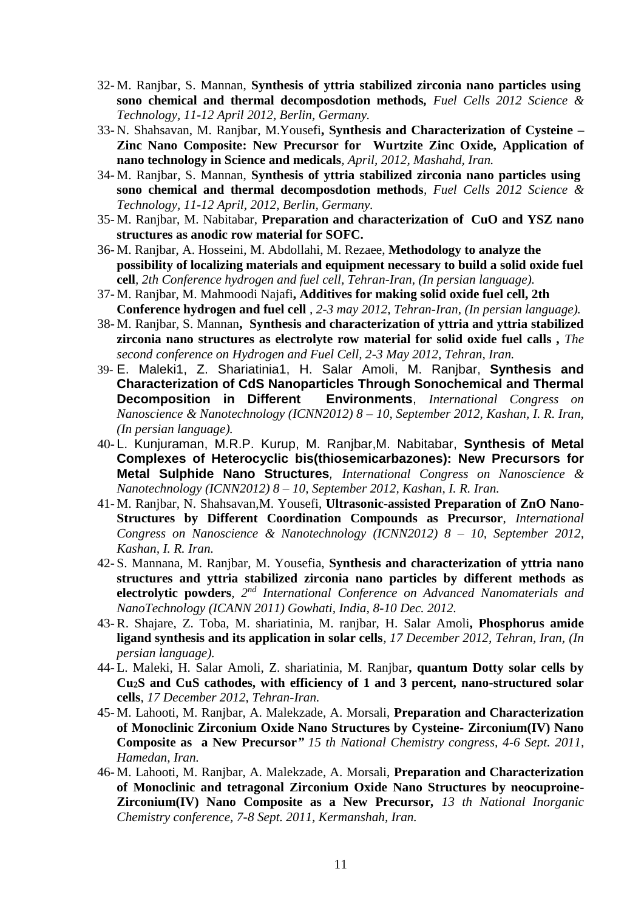- 32- M. Ranjbar, S. Mannan, **Synthesis of yttria stabilized zirconia nano particles using sono chemical and thermal decomposdotion methods***, Fuel Cells 2012 Science & Technology, 11-12 April 2012, Berlin, Germany.*
- 33- N. Shahsavan, M. Ranjbar, M.Yousefi**, Synthesis and Characterization of Cysteine – Zinc Nano Composite: New Precursor for Wurtzite Zinc Oxide, Application of nano technology in Science and medicals***, April, 2012, Mashahd, Iran.*
- 34- M. Ranjbar, S. Mannan, **Synthesis of yttria stabilized zirconia nano particles using sono chemical and thermal decomposdotion methods***, Fuel Cells 2012 Science & Technology, 11-12 April, 2012, Berlin, Germany.*
- 35- M. Ranjbar, M. Nabitabar, **Preparation and characterization of CuO and YSZ nano structures as anodic row material for SOFC.**
- 36- M. Ranjbar, A. Hosseini, M. Abdollahi, M. Rezaee, **Methodology to analyze the possibility of localizing materials and equipment necessary to build a solid oxide fuel cell***, 2th Conference hydrogen and fuel cell, Tehran-Iran, (In persian language).*
- 37- M. Ranjbar, M. Mahmoodi Najafi**, Additives for making solid oxide fuel cell, 2th Conference hydrogen and fuel cell** *, 2-3 may 2012, Tehran-Iran, (In persian language).*
- 38- M. Ranjbar, S. Mannan**, Synthesis and characterization of yttria and yttria stabilized zirconia nano structures as electrolyte row material for solid oxide fuel calls ,** *The second conference on Hydrogen and Fuel Cell, 2-3 May 2012, Tehran, Iran.*
- 39- E. Maleki1, Z. Shariatinia1, H. Salar Amoli, M. Ranjbar, **Synthesis and Characterization of CdS Nanoparticles Through Sonochemical and Thermal Decomposition in Different Environments**, *International Congress on Nanoscience & Nanotechnology (ICNN2012) 8 – 10, September 2012, Kashan, I. R. Iran, (In persian language).*
- 40- L. Kunjuraman, M.R.P. Kurup, M. Ranjbar,M. Nabitabar, **Synthesis of Metal Complexes of Heterocyclic bis(thiosemicarbazones): New Precursors for Metal Sulphide Nano Structures***, International Congress on Nanoscience & Nanotechnology (ICNN2012) 8 – 10, September 2012, Kashan, I. R. Iran.*
- 41- M. Ranjbar, N. Shahsavan*,*M. Yousefi, **Ultrasonic-assisted Preparation of ZnO Nano-Structures by Different Coordination Compounds as Precursor**, *International Congress on Nanoscience & Nanotechnology (ICNN2012) 8 – 10, September 2012, Kashan, I. R. Iran.*
- 42- S. Mannana, M. Ranjbar, M. Yousefia, **Synthesis and characterization of yttria nano structures and yttria stabilized zirconia nano particles by different methods as electrolytic powders***, 2 nd International Conference on Advanced Nanomaterials and NanoTechnology (ICANN 2011) Gowhati, India, 8-10 Dec. 2012.*
- 43- R. Shajare, Z. Toba, M. shariatinia, M. ranjbar, H. Salar Amoli**, Phosphorus amide ligand synthesis and its application in solar cells***, 17 December 2012, Tehran, Iran, (In persian language).*
- 44- L. Maleki, H. Salar Amoli, Z. shariatinia, M. Ranjbar**, quantum Dotty solar cells by Cu2S and CuS cathodes, with efficiency of 1 and 3 percent, nano-structured solar cells***, 17 December 2012, Tehran-Iran.*
- 45- M. Lahooti, M. Ranjbar, A. Malekzade, A. Morsali, **Preparation and Characterization of Monoclinic Zirconium Oxide Nano Structures by Cysteine- Zirconium(IV) Nano Composite as a New Precursor***" 15 th National Chemistry congress, 4-6 Sept. 2011, Hamedan, Iran.*
- 46- M. Lahooti, M. Ranjbar, A. Malekzade, A. Morsali, **Preparation and Characterization of Monoclinic and tetragonal Zirconium Oxide Nano Structures by neocuproine-Zirconium(IV) Nano Composite as a New Precursor***, 13 th National Inorganic Chemistry conference, 7-8 Sept. 2011, Kermanshah, Iran.*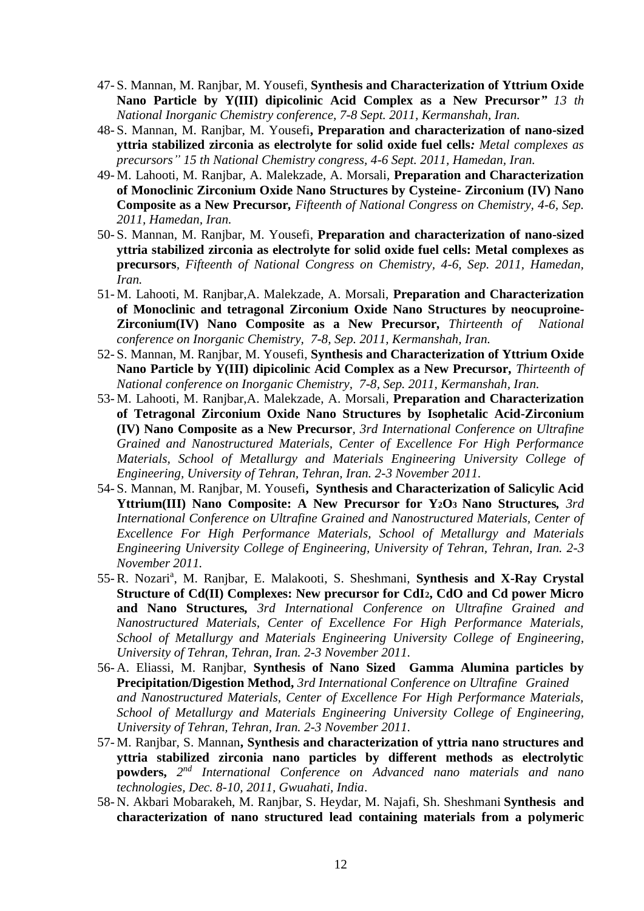- 47- S. Mannan, M. Ranjbar, M. Yousefi, **Synthesis and Characterization of Yttrium Oxide Nano Particle by Y(III) dipicolinic Acid Complex as a New Precursor***" 13 th National Inorganic Chemistry conference, 7-8 Sept. 2011, Kermanshah, Iran.*
- 48- S. Mannan, M. Ranjbar, M. Yousefi**, Preparation and characterization of nano-sized yttria stabilized zirconia as electrolyte for solid oxide fuel cells***: Metal complexes as precursors" 15 th National Chemistry congress, 4-6 Sept. 2011, Hamedan, Iran.*
- 49- M. Lahooti, M. Ranjbar, A. Malekzade, A. Morsali, **Preparation and Characterization of Monoclinic Zirconium Oxide Nano Structures by Cysteine- Zirconium (IV) Nano Composite as a New Precursor***, Fifteenth of National Congress on Chemistry, 4-6, Sep. 2011, Hamedan, Iran.*
- 50- S. Mannan, M. Ranjbar, M. Yousefi, **Preparation and characterization of nano-sized yttria stabilized zirconia as electrolyte for solid oxide fuel cells: Metal complexes as precursors***, Fifteenth of National Congress on Chemistry, 4-6, Sep. 2011, Hamedan, Iran.*
- 51- M. Lahooti, M. Ranjbar,A. Malekzade, A. Morsali, **Preparation and Characterization of Monoclinic and tetragonal Zirconium Oxide Nano Structures by neocuproine-Zirconium(IV) Nano Composite as a New Precursor***, Thirteenth of National conference on Inorganic Chemistry, 7-8, Sep. 2011, Kermanshah, Iran.*
- 52- S. Mannan, M. Ranjbar, M. Yousefi, **Synthesis and Characterization of Yttrium Oxide Nano Particle by Y(III) dipicolinic Acid Complex as a New Precursor***, Thirteenth of National conference on Inorganic Chemistry, 7-8, Sep. 2011, Kermanshah, Iran.*
- 53- M. Lahooti, M. Ranjbar,A. Malekzade, A. Morsali, **Preparation and Characterization of Tetragonal Zirconium Oxide Nano Structures by Isophetalic Acid-Zirconium (IV) Nano Composite as a New Precursor***, 3rd International Conference on Ultrafine Grained and Nanostructured Materials, Center of Excellence For High Performance Materials, School of Metallurgy and Materials Engineering University College of Engineering, University of Tehran, Tehran, Iran. 2-3 November 2011.*
- 54- S. Mannan, M. Ranjbar, M. Yousefi**, Synthesis and Characterization of Salicylic Acid Yttrium(III) Nano Composite: A New Precursor for Y2O3 Nano Structures***, 3rd International Conference on Ultrafine Grained and Nanostructured Materials, Center of Excellence For High Performance Materials, School of Metallurgy and Materials Engineering University College of Engineering, University of Tehran, Tehran, Iran. 2-3 November 2011.*
- 55- R. Nozari<sup>a</sup>, M. Ranjbar, E. Malakooti, S. Sheshmani, Synthesis and X-Ray Crystal **Structure of Cd(II) Complexes: New precursor for CdI2, CdO and Cd power Micro and Nano Structures***, 3rd International Conference on Ultrafine Grained and Nanostructured Materials, Center of Excellence For High Performance Materials, School of Metallurgy and Materials Engineering University College of Engineering, University of Tehran, Tehran, Iran. 2-3 November 2011.*
- 56- A. Eliassi, M. Ranjbar, **Synthesis of Nano Sized Gamma Alumina particles by Precipitation/Digestion Method,** *3rd International Conference on Ultrafine Grained and Nanostructured Materials, Center of Excellence For High Performance Materials, School of Metallurgy and Materials Engineering University College of Engineering, University of Tehran, Tehran, Iran. 2-3 November 2011.*
- 57- M. Ranjbar, S. Mannan**, Synthesis and characterization of yttria nano structures and yttria stabilized zirconia nano particles by different methods as electrolytic powders,**  $2^{nd}$  *International Conference on Advanced nano materials and nano technologies, Dec. 8-10, 2011, Gwuahati, India*.
- 58- N. Akbari Mobarakeh, M. Ranjbar, S. Heydar, M. Najafi, Sh. Sheshmani **Synthesis and characterization of nano structured lead containing materials from a polymeric**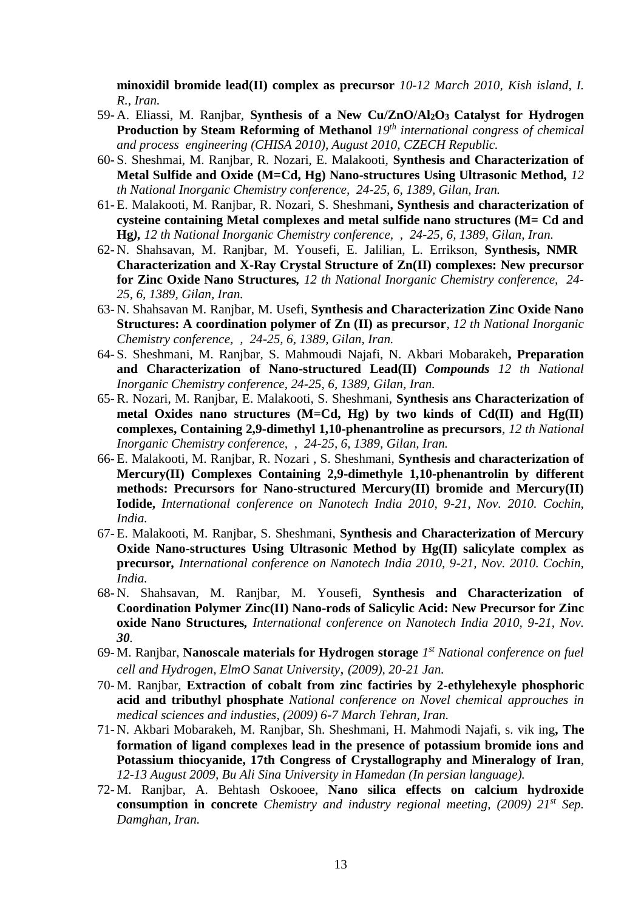**minoxidil bromide lead(II) complex as precursor** *10-12 March 2010, Kish island, I. R., Iran.*

- 59- A. Eliassi, M. Ranjbar, **Synthesis of a New Cu/ZnO/Al2O3 Catalyst for Hydrogen Production by Steam Reforming of Methanol** *19th international congress of chemical and process engineering (CHISA 2010), August 2010, CZECH Republic.*
- 60- S. Sheshmai, M. Ranjbar, R. Nozari, E. Malakooti, **Synthesis and Characterization of Metal Sulfide and Oxide (M=Cd, Hg) Nano-structures Using Ultrasonic Method***, 12 th National Inorganic Chemistry conference, 24-25, 6, 1389, Gilan, Iran.*
- 61- E. Malakooti, M. Ranjbar, R. Nozari, S. Sheshmani**, Synthesis and characterization of cysteine containing Metal complexes and metal sulfide nano structures (M= Cd and Hg***), 12 th National Inorganic Chemistry conference, , 24-25, 6, 1389, Gilan, Iran.*
- 62- N. Shahsavan, M. Ranjbar, M. Yousefi, E. Jalilian, L. Errikson, **Synthesis, NMR Characterization and X-Ray Crystal Structure of Zn(II) complexes: New precursor for Zinc Oxide Nano Structures***, 12 th National Inorganic Chemistry conference, 24- 25, 6, 1389, Gilan, Iran.*
- 63- N. Shahsavan M. Ranjbar, M. Usefi, **Synthesis and Characterization Zinc Oxide Nano Structures: A coordination polymer of Zn (II) as precursor***, 12 th National Inorganic Chemistry conference, , 24-25, 6, 1389, Gilan, Iran.*
- 64- S. Sheshmani, M. Ranjbar, S. Mahmoudi Najafi, N. Akbari Mobarakeh**, Preparation and Characterization of Nano-structured Lead(II)** *Compounds 12 th National Inorganic Chemistry conference, 24-25, 6, 1389, Gilan, Iran.*
- 65- R. Nozari, M. Ranjbar, E. Malakooti, S. Sheshmani, **Synthesis ans Characterization of metal Oxides nano structures (M=Cd, Hg) by two kinds of Cd(II) and Hg(II) complexes, Containing 2,9-dimethyl 1,10-phenantroline as precursors***, 12 th National Inorganic Chemistry conference, , 24-25, 6, 1389, Gilan, Iran.*
- 66- E. Malakooti, M. Ranjbar, R. Nozari , S. Sheshmani, **Synthesis and characterization of Mercury(II) Complexes Containing 2,9-dimethyle 1,10-phenantrolin by different methods: Precursors for Nano-structured Mercury(II) bromide and Mercury(II) Iodide,** *International conference on Nanotech India 2010, 9-21, Nov. 2010. Cochin, India.*
- 67- E. Malakooti, M. Ranjbar, S. Sheshmani, **Synthesis and Characterization of Mercury Oxide Nano-structures Using Ultrasonic Method by Hg(II) salicylate complex as precursor***, International conference on Nanotech India 2010, 9-21, Nov. 2010. Cochin, India.*
- 68- N. Shahsavan, M. Ranjbar, M. Yousefi, **Synthesis and Characterization of Coordination Polymer Zinc(II) Nano-rods of Salicylic Acid: New Precursor for Zinc oxide Nano Structures***, International conference on Nanotech India 2010, 9-21, Nov. 30.*
- 69- M. Ranjbar, **Nanoscale materials for Hydrogen storage** *1 st National conference on fuel cell and Hydrogen, ElmO Sanat University, (2009), 20-21 Jan.*
- 70- M. Ranjbar, **Extraction of cobalt from zinc factiries by 2-ethylehexyle phosphoric acid and tributhyl phosphate** *National conference on Novel chemical approuches in medical sciences and industies, (2009) 6-7 March Tehran, Iran.*
- 71- N. Akbari Mobarakeh, M. Ranjbar, Sh. Sheshmani, H. Mahmodi Najafi, s. vik ing**, The formation of ligand complexes lead in the presence of potassium bromide ions and Potassium thiocyanide, 17th Congress of Crystallography and Mineralogy of Iran***, 12-13 August 2009, Bu Ali Sina University in Hamedan (In persian language).*
- 72- M. Ranjbar, A. Behtash Oskooee, **Nano silica effects on calcium hydroxide consumption in concrete** *Chemistry and industry regional meeting, (2009) 21st Sep. Damghan, Iran.*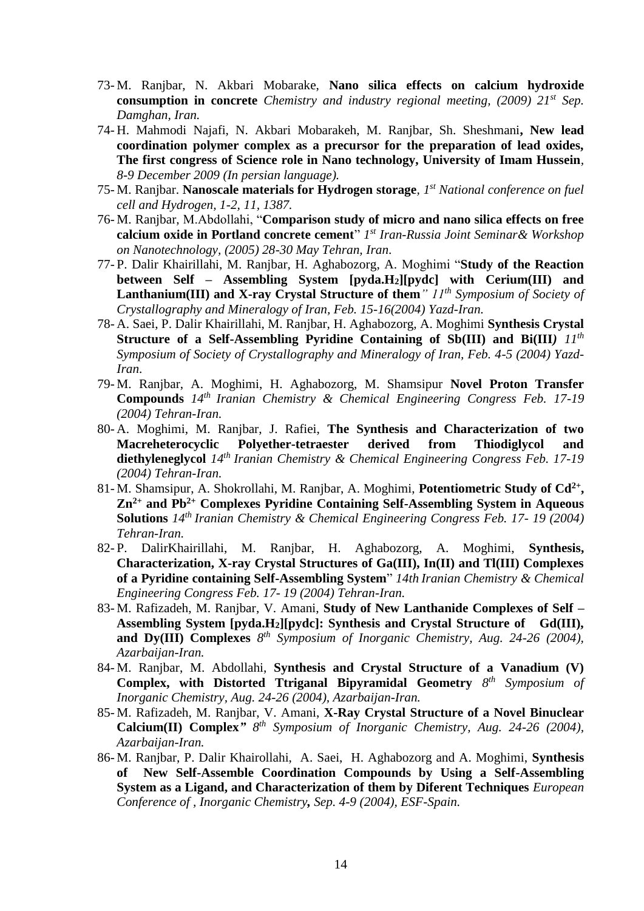- 73- M. Ranjbar, N. Akbari Mobarake, **Nano silica effects on calcium hydroxide consumption in concrete** *Chemistry and industry regional meeting, (2009) 21st Sep. Damghan, Iran.*
- 74- H. Mahmodi Najafi, N. Akbari Mobarakeh, M. Ranjbar, Sh. Sheshmani**, New lead coordination polymer complex as a precursor for the preparation of lead oxides, The first congress of Science role in Nano technology, University of Imam Hussein***, 8-9 December 2009 (In persian language).*
- 75- M. Ranjbar. **Nanoscale materials for Hydrogen storage***, 1st National conference on fuel cell and Hydrogen, 1-2, 11, 1387.*
- 76- M. Ranjbar, M.Abdollahi, "**Comparison study of micro and nano silica effects on free calcium oxide in Portland concrete cement**" *1 st Iran-Russia Joint Seminar& Workshop on Nanotechnology, (2005) 28-30 May Tehran, Iran*.
- 77- P. Dalir Khairillahi, M. Ranjbar, H. Aghabozorg, A. Moghimi "**Study of the Reaction between Self – Assembling System [pyda.H2][pydc] with Cerium(III) and Lanthanium(III) and X-ray Crystal Structure of them***" 11th Symposium of Society of Crystallography and Mineralogy of Iran, Feb. 15-16(2004) Yazd-Iran.*
- 78- A. Saei, P. Dalir Khairillahi, M. Ranjbar, H. Aghabozorg, A. Moghimi **Synthesis Crystal Structure of a Self-Assembling Pyridine Containing of Sb(III) and Bi(III***) 11th Symposium of Society of Crystallography and Mineralogy of Iran, Feb. 4-5 (2004) Yazd-Iran*.
- 79- M. Ranjbar, A. Moghimi, H. Aghabozorg, M. Shamsipur **Novel Proton Transfer Compounds** *14th Iranian Chemistry & Chemical Engineering Congress Feb. 17-19 (2004) Tehran-Iran.*
- 80- A. Moghimi, M. Ranjbar, J. Rafiei, **The Synthesis and Characterization of two Macreheterocyclic Polyether-tetraester derived from Thiodiglycol and diethyleneglycol** *14th Iranian Chemistry & Chemical Engineering Congress Feb. 17-19 (2004) Tehran-Iran.*
- 81-M. Shamsipur, A. Shokrollahi, M. Ranjbar, A. Moghimi, Potentiometric Study of Cd<sup>2+</sup>, **Zn2+ and Pb 2+ Complexes Pyridine Containing Self-Assembling System in Aqueous Solutions** *14th Iranian Chemistry & Chemical Engineering Congress Feb. 17- 19 (2004) Tehran-Iran.*
- 82- P. DalirKhairillahi, M. Ranjbar, H. Aghabozorg, A. Moghimi, **Synthesis, Characterization, X-ray Crystal Structures of Ga(III), In(II) and Tl(III) Complexes of a Pyridine containing Self-Assembling System**" *14th Iranian Chemistry & Chemical Engineering Congress Feb. 17- 19 (2004) Tehran-Iran.*
- 83- M. Rafizadeh, M. Ranjbar, V. Amani, **Study of New Lanthanide Complexes of Self – Assembling System [pyda.H2][pydc]: Synthesis and Crystal Structure of Gd(III), and Dy(III) Complexes** *8 th Symposium of Inorganic Chemistry, Aug. 24-26 (2004), Azarbaijan-Iran.*
- 84- M. Ranjbar, M. Abdollahi, **Synthesis and Crystal Structure of a Vanadium (V) Complex, with Distorted Ttriganal Bipyramidal Geometry** *8 th Symposium of Inorganic Chemistry, Aug. 24-26 (2004), Azarbaijan-Iran.*
- 85- M. Rafizadeh, M. Ranjbar, V. Amani, **X-Ray Crystal Structure of a Novel Binuclear Calcium(II) Complex***" 8 th Symposium of Inorganic Chemistry, Aug. 24-26 (2004), Azarbaijan-Iran.*
- 86- M. Ranjbar, P. Dalir Khairollahi, A. Saei, H. Aghabozorg and A. Moghimi, **Synthesis of New Self-Assemble Coordination Compounds by Using a Self-Assembling System as a Ligand, and Characterization of them by Diferent Techniques** *European Conference of , Inorganic Chemistry, Sep. 4-9 (2004), ESF-Spain.*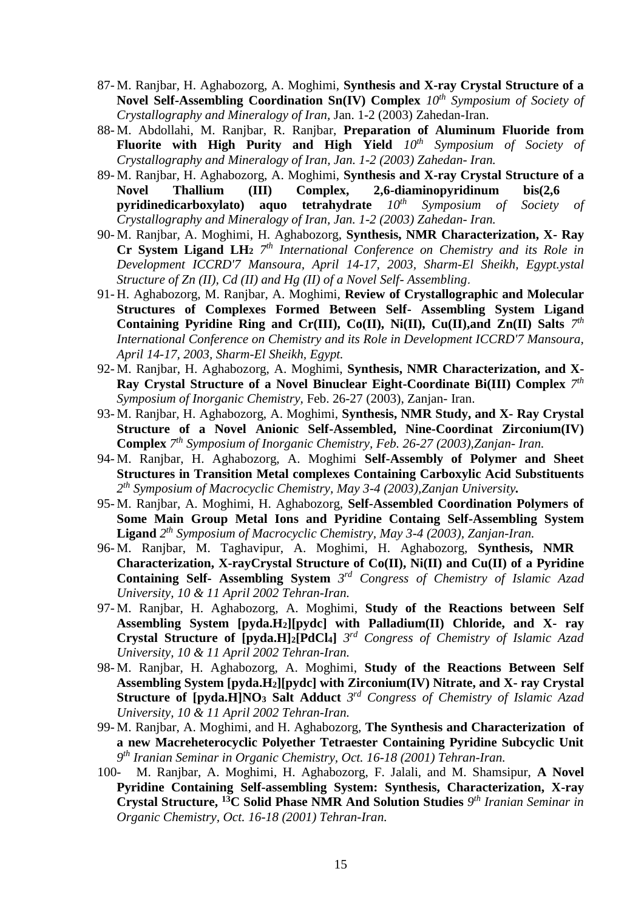- 87- M. Ranjbar, H. Aghabozorg, A. Moghimi, **Synthesis and X-ray Crystal Structure of a Novel Self-Assembling Coordination Sn(IV) Complex** *10th Symposium of Society of Crystallography and Mineralogy of Iran,* Jan. 1-2 (2003) Zahedan-Iran.
- 88- M. Abdollahi, M. Ranjbar, R. Ranjbar, **Preparation of Aluminum Fluoride from Fluorite with High Purity and High Yield** *10th Symposium of Society of Crystallography and Mineralogy of Iran, Jan. 1-2 (2003) Zahedan- Iran.*
- 89- M. Ranjbar, H. Aghabozorg, A. Moghimi, **Synthesis and X-ray Crystal Structure of a Novel Thallium (III) Complex, 2,6-diaminopyridinum bis(2,6 pyridinedicarboxylato) aquo tetrahydrate** *10th Symposium of Society of Crystallography and Mineralogy of Iran, Jan. 1-2 (2003) Zahedan- Iran.*
- 90- M. Ranjbar, A. Moghimi, H. Aghabozorg, **Synthesis, NMR Characterization, X- Ray Cr System Ligand LH<sup>2</sup>** *7 th International Conference on Chemistry and its Role in Development ICCRD'7 Mansoura, April 14-17, 2003, Sharm-El Sheikh, Egypt.ystal Structure of Zn (II), Cd (II) and Hg (II) of a Novel Self- Assembling*.
- 91- H. Aghabozorg, M. Ranjbar, A. Moghimi, **Review of Crystallographic and Molecular Structures of Complexes Formed Between Self- Assembling System Ligand**  Containing Pyridine Ring and Cr(III), Co(II), Ni(II), Cu(II),and Zn(II) Salts  $7<sup>th</sup>$ *International Conference on Chemistry and its Role in Development ICCRD'7 Mansoura, April 14-17, 2003, Sharm-El Sheikh, Egypt.*
- 92- M. Ranjbar, H. Aghabozorg, A. Moghimi, **Synthesis, NMR Characterization, and X-Ray Crystal Structure of a Novel Binuclear Eight-Coordinate Bi(III) Complex** *7 th Symposium of Inorganic Chemistry,* Feb. 26-27 (2003), Zanjan- Iran.
- 93- M. Ranjbar, H. Aghabozorg, A. Moghimi, **Synthesis, NMR Study, and X- Ray Crystal Structure of a Novel Anionic Self-Assembled, Nine-Coordinat Zirconium(IV) Complex** *7 th Symposium of Inorganic Chemistry, Feb. 26-27 (2003),Zanjan- Iran.*
- 94- M. Ranjbar, H. Aghabozorg, A. Moghimi **Self-Assembly of Polymer and Sheet Structures in Transition Metal complexes Containing Carboxylic Acid Substituents** *2 th Symposium of Macrocyclic Chemistry, May 3-4 (2003),Zanjan University.*
- 95- M. Ranjbar, A. Moghimi, H. Aghabozorg, **Self-Assembled Coordination Polymers of Some Main Group Metal Ions and Pyridine Containg Self-Assembling System Ligand** *2 th Symposium of Macrocyclic Chemistry, May 3-4 (2003), Zanjan-Iran.*
- 96- M. Ranjbar, M. Taghavipur, A. Moghimi, H. Aghabozorg, **Synthesis, NMR Characterization, X-rayCrystal Structure of Co(II), Ni(II) and Cu(II) of a Pyridine Containing Self- Assembling System** *3 rd Congress of Chemistry of Islamic Azad University, 10 & 11 April 2002 Tehran-Iran.*
- 97- M. Ranjbar, H. Aghabozorg, A. Moghimi, **Study of the Reactions between Self Assembling System [pyda.H2][pydc] with Palladium(II) Chloride, and X- ray Crystal Structure of [pyda.H]2[PdCl4]** *3 rd Congress of Chemistry of Islamic Azad University, 10 & 11 April 2002 Tehran-Iran.*
- 98- M. Ranjbar, H. Aghabozorg, A. Moghimi, **Study of the Reactions Between Self Assembling System [pyda.H2][pydc] with Zirconium(IV) Nitrate, and X- ray Crystal Structure of [pyda.H]NO<sup>3</sup> Salt Adduct** *3 rd Congress of Chemistry of Islamic Azad University, 10 & 11 April 2002 Tehran-Iran.*
- 99- M. Ranjbar, A. Moghimi, and H. Aghabozorg, **The Synthesis and Characterization of a new Macreheterocyclic Polyether Tetraester Containing Pyridine Subcyclic Unit** *9 th Iranian Seminar in Organic Chemistry, Oct. 16-18 (2001) Tehran-Iran.*
- 100- M. Ranjbar, A. Moghimi, H. Aghabozorg, F. Jalali, and M. Shamsipur, **A Novel Pyridine Containing Self-assembling System: Synthesis, Characterization, X-ray Crystal Structure, <sup>13</sup>C Solid Phase NMR And Solution Studies** *9 th Iranian Seminar in Organic Chemistry, Oct. 16-18 (2001) Tehran-Iran.*